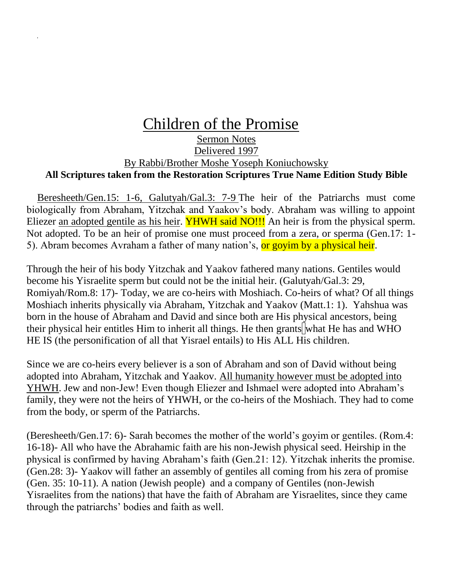## Children of the Promise Sermon Notes Delivered 1997 By Rabbi/Brother Moshe Yoseph Koniuchowsky **All Scriptures taken from the Restoration Scriptures True Name Edition Study Bible**

Beresheeth/Gen.15: 1-6, Galutyah/Gal.3: 7-9 The heir of the Patriarchs must come biologically from Abraham, Yitzchak and Yaakov's body. Abraham was willing to appoint Eliezer an adopted gentile as his heir. YHWH said NO!!! An heir is from the physical sperm. Not adopted. To be an heir of promise one must proceed from a zera, or sperma (Gen.17: 1- 5). Abram becomes Avraham a father of many nation's, or goyim by a physical heir.

Through the heir of his body Yitzchak and Yaakov fathered many nations. Gentiles would become his Yisraelite sperm but could not be the initial heir. (Galutyah/Gal.3: 29, Romiyah/Rom.8: 17)- Today, we are co-heirs with Moshiach. Co-heirs of what? Of all things Moshiach inherits physically via Abraham, Yitzchak and Yaakov (Matt.1: 1). Yahshua was born in the house of Abraham and David and since both are His physical ancestors, being their physical heir entitles Him to inherit all things. He then grants what He has and WHO HE IS (the personification of all that Yisrael entails) to His ALL His children.

Since we are co-heirs every believer is a son of Abraham and son of David without being adopted into Abraham, Yitzchak and Yaakov. All humanity however must be adopted into YHWH. Jew and non-Jew! Even though Eliezer and Ishmael were adopted into Abraham's family, they were not the heirs of YHWH, or the co-heirs of the Moshiach. They had to come from the body, or sperm of the Patriarchs.

(Beresheeth/Gen.17: 6)- Sarah becomes the mother of the world's goyim or gentiles. (Rom.4: 16-18)- All who have the Abrahamic faith are his non-Jewish physical seed. Heirship in the physical is confirmed by having Abraham's faith (Gen.21: 12). Yitzchak inherits the promise. (Gen.28: 3)- Yaakov will father an assembly of gentiles all coming from his zera of promise (Gen. 35: 10-11). A nation (Jewish people) and a company of Gentiles (non-Jewish Yisraelites from the nations) that have the faith of Abraham are Yisraelites, since they came through the patriarchs' bodies and faith as well.